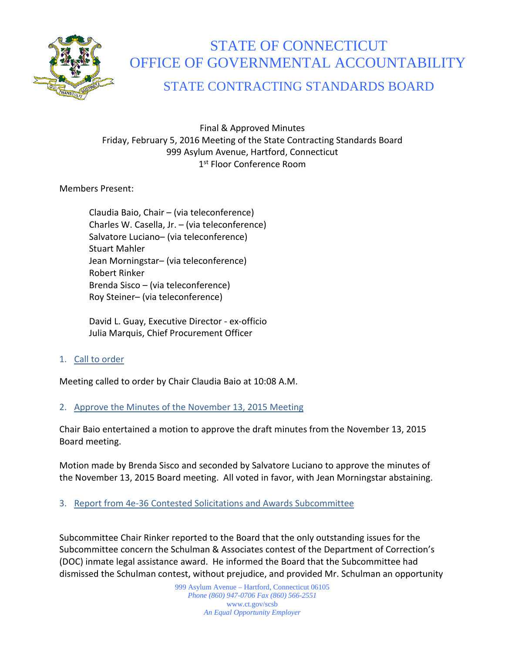

# STATE OF CONNECTICUT OFFICE OF GOVERNMENTAL ACCOUNTABILITY

# STATE CONTRACTING STANDARDS BOARD

Final & Approved Minutes Friday, February 5, 2016 Meeting of the State Contracting Standards Board 999 Asylum Avenue, Hartford, Connecticut 1st Floor Conference Room

Members Present:

Claudia Baio, Chair – (via teleconference) Charles W. Casella, Jr. – (via teleconference) Salvatore Luciano– (via teleconference) Stuart Mahler Jean Morningstar– (via teleconference) Robert Rinker Brenda Sisco – (via teleconference) Roy Steiner– (via teleconference)

David L. Guay, Executive Director - ex-officio Julia Marquis, Chief Procurement Officer

1. Call to order

Meeting called to order by Chair Claudia Baio at 10:08 A.M.

# 2. Approve the Minutes of the November 13, 2015 Meeting

Chair Baio entertained a motion to approve the draft minutes from the November 13, 2015 Board meeting.

Motion made by Brenda Sisco and seconded by Salvatore Luciano to approve the minutes of the November 13, 2015 Board meeting. All voted in favor, with Jean Morningstar abstaining.

3. Report from 4e-36 Contested Solicitations and Awards Subcommittee

Subcommittee Chair Rinker reported to the Board that the only outstanding issues for the Subcommittee concern the Schulman & Associates contest of the Department of Correction's (DOC) inmate legal assistance award. He informed the Board that the Subcommittee had dismissed the Schulman contest, without prejudice, and provided Mr. Schulman an opportunity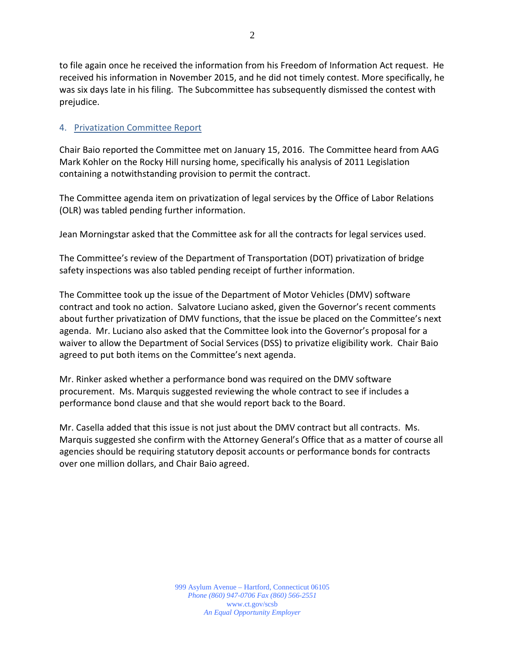to file again once he received the information from his Freedom of Information Act request. He received his information in November 2015, and he did not timely contest. More specifically, he was six days late in his filing. The Subcommittee has subsequently dismissed the contest with prejudice.

## 4. Privatization Committee Report

Chair Baio reported the Committee met on January 15, 2016. The Committee heard from AAG Mark Kohler on the Rocky Hill nursing home, specifically his analysis of 2011 Legislation containing a notwithstanding provision to permit the contract.

The Committee agenda item on privatization of legal services by the Office of Labor Relations (OLR) was tabled pending further information.

Jean Morningstar asked that the Committee ask for all the contracts for legal services used.

The Committee's review of the Department of Transportation (DOT) privatization of bridge safety inspections was also tabled pending receipt of further information.

The Committee took up the issue of the Department of Motor Vehicles (DMV) software contract and took no action. Salvatore Luciano asked, given the Governor's recent comments about further privatization of DMV functions, that the issue be placed on the Committee's next agenda. Mr. Luciano also asked that the Committee look into the Governor's proposal for a waiver to allow the Department of Social Services (DSS) to privatize eligibility work. Chair Baio agreed to put both items on the Committee's next agenda.

Mr. Rinker asked whether a performance bond was required on the DMV software procurement. Ms. Marquis suggested reviewing the whole contract to see if includes a performance bond clause and that she would report back to the Board.

Mr. Casella added that this issue is not just about the DMV contract but all contracts. Ms. Marquis suggested she confirm with the Attorney General's Office that as a matter of course all agencies should be requiring statutory deposit accounts or performance bonds for contracts over one million dollars, and Chair Baio agreed.

> 999 Asylum Avenue – Hartford, Connecticut 06105 *Phone (860) 947-0706 Fax (860) 566-2551* www.ct.gov/scsb *An Equal Opportunity Employer*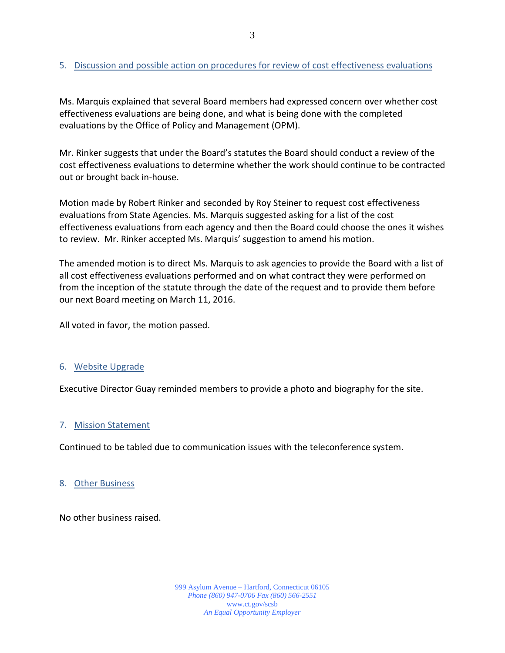# 5. Discussion and possible action on procedures for review of cost effectiveness evaluations

Ms. Marquis explained that several Board members had expressed concern over whether cost effectiveness evaluations are being done, and what is being done with the completed evaluations by the Office of Policy and Management (OPM).

Mr. Rinker suggests that under the Board's statutes the Board should conduct a review of the cost effectiveness evaluations to determine whether the work should continue to be contracted out or brought back in-house.

Motion made by Robert Rinker and seconded by Roy Steiner to request cost effectiveness evaluations from State Agencies. Ms. Marquis suggested asking for a list of the cost effectiveness evaluations from each agency and then the Board could choose the ones it wishes to review. Mr. Rinker accepted Ms. Marquis' suggestion to amend his motion.

The amended motion is to direct Ms. Marquis to ask agencies to provide the Board with a list of all cost effectiveness evaluations performed and on what contract they were performed on from the inception of the statute through the date of the request and to provide them before our next Board meeting on March 11, 2016.

All voted in favor, the motion passed.

# 6. Website Upgrade

Executive Director Guay reminded members to provide a photo and biography for the site.

#### 7. Mission Statement

Continued to be tabled due to communication issues with the teleconference system.

#### 8. Other Business

No other business raised.

999 Asylum Avenue – Hartford, Connecticut 06105 *Phone (860) 947-0706 Fax (860) 566-2551* www.ct.gov/scsb *An Equal Opportunity Employer*